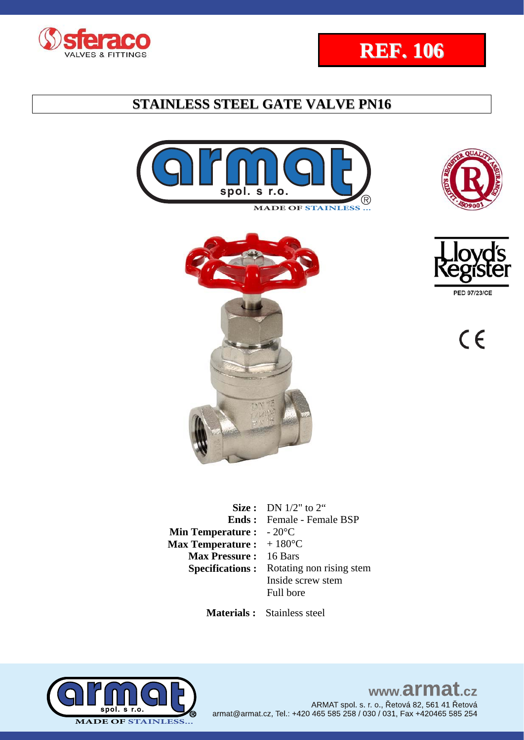











 $C<sub>f</sub>$ 

|                                          | <b>Size :</b> DN $1/2$ " to $2$ "               |
|------------------------------------------|-------------------------------------------------|
|                                          | <b>Ends:</b> Female - Female BSP                |
| <b>Min Temperature :</b> $-20^{\circ}$ C |                                                 |
| Max Temperature : $+180^{\circ}$ C       |                                                 |
| <b>Max Pressure: 16 Bars</b>             |                                                 |
|                                          | <b>Specifications:</b> Rotating non rising stem |
|                                          | Inside screw stem                               |
|                                          | Full bore                                       |
|                                          |                                                 |

 **Materials :** Stainless steel

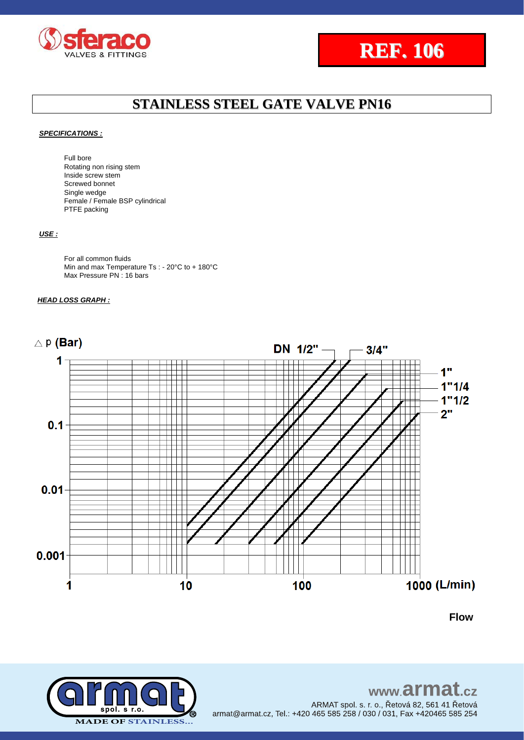



#### *SPECIFICATIONS :*

Full bore Rotating non rising stem Inside screw stem Screwed bonnet Single wedge Female / Female BSP cylindrical PTFE packing

#### *USE :*

For all common fluids Min and max Temperature Ts : - 20°C to + 180°C Max Pressure PN: 16 bars

#### *HEAD LOSS GRAPH :*



**Flow**



www.armat.cz ARMAT spol. s. r. o., Řetová 82, 561 41 Řetová armat@armat.cz, Tel.: +420 465 585 258 / 030 / 031, Fax +420465 585 254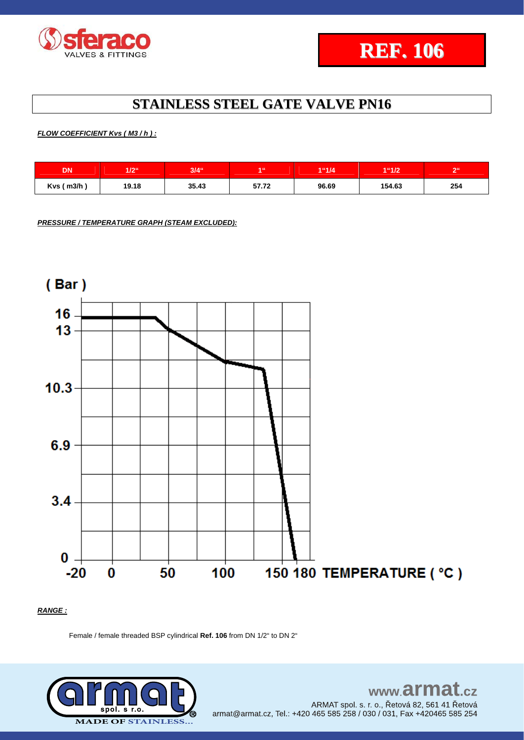

### *FLOW COEFFICIENT Kvs ( M3 / h ) :*

| DN            | 17966<br>11 C | $3/4$ " | 4.66  | 1"1/4 | 1"1/2  | R <sub>0</sub> |
|---------------|---------------|---------|-------|-------|--------|----------------|
| $Kvs$ ( m3/h) | 19.18         | 35.43   | 57.72 | 96.69 | 154.63 | 254            |

*PRESSURE / TEMPERATURE GRAPH (STEAM EXCLUDED):*



#### *RANGE :*

Female / female threaded BSP cylindrical **Ref. 106** from DN 1/2" to DN 2"



### www.armat.cz ARMAT spol. s. r. o., Řetová 82, 561 41 Řetová armat@armat.cz, Tel.: +420 465 585 258 / 030 / 031, Fax +420465 585 254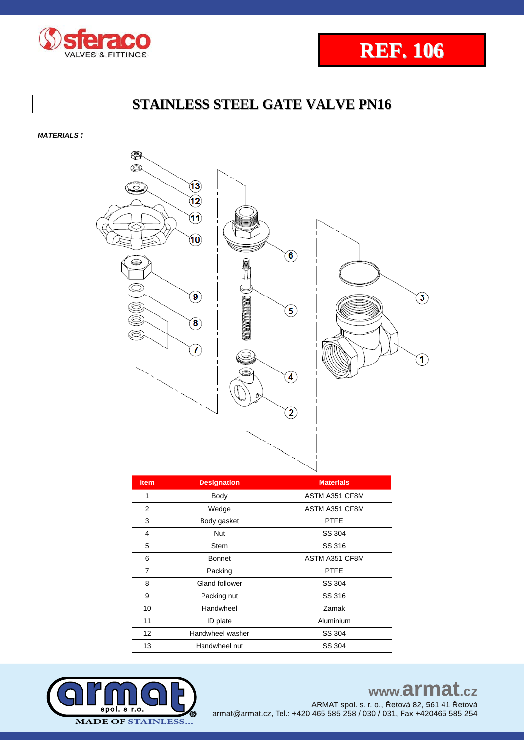



*MATERIALS :*



| <b>Item</b>    | <b>Designation</b> | <b>Materials</b> |
|----------------|--------------------|------------------|
| 1              | Body               | ASTM A351 CF8M   |
| 2              | Wedge              | ASTM A351 CF8M   |
| 3              | Body gasket        | <b>PTFE</b>      |
| 4              | <b>Nut</b>         | SS 304           |
| 5              | <b>Stem</b>        | SS 316           |
| 6              | <b>Bonnet</b>      | ASTM A351 CF8M   |
| $\overline{7}$ | Packing            | <b>PTFE</b>      |
| 8              | Gland follower     | SS 304           |
| 9              | Packing nut        | SS 316           |
| 10             | Handwheel          | Zamak            |
| 11             | ID plate           | Aluminium        |
| 12             | Handwheel washer   | SS 304           |
| 13             | Handwheel nut      | SS 304           |
|                |                    |                  |



www.armat.cz

ARMAT spol. s. r. o., Řetová 82, 561 41 Řetová armat@armat.cz, Tel.: +420 465 585 258 / 030 / 031, Fax +420465 585 254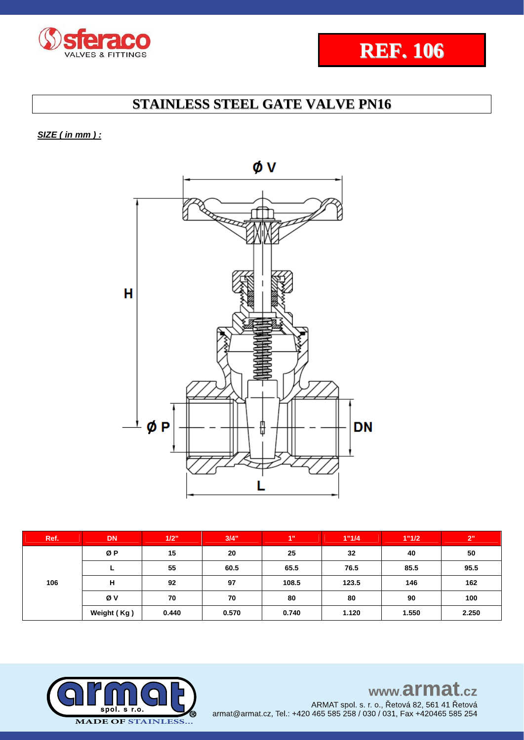



*SIZE ( in mm ) :* 



| Ref. | <b>DN</b>   | 1/2"  | 3/4"  | 4"    | 1"1/4 | 1"1/2 | 2"    |
|------|-------------|-------|-------|-------|-------|-------|-------|
| 106  | ØP          | 15    | 20    | 25    | 32    | 40    | 50    |
|      |             | 55    | 60.5  | 65.5  | 76.5  | 85.5  | 95.5  |
|      | н           | 92    | 97    | 108.5 | 123.5 | 146   | 162   |
|      | Øν          | 70    | 70    | 80    | 80    | 90    | 100   |
|      | Weight (Kg) | 0.440 | 0.570 | 0.740 | 1.120 | 1.550 | 2.250 |

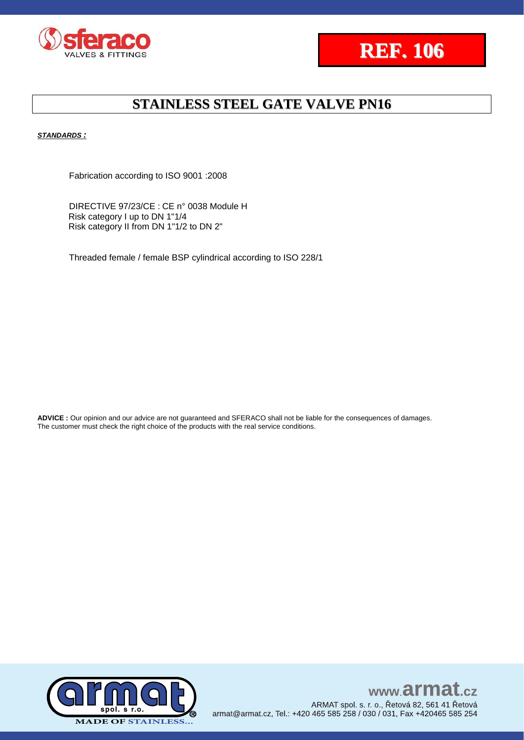



#### *STANDARDS :*

Fabrication according to ISO 9001 :2008

DIRECTIVE 97/23/CE : CE n° 0038 Module H Risk category I up to DN 1"1/4 Risk category II from DN 1"1/2 to DN 2"

Threaded female / female BSP cylindrical according to ISO 228/1

**ADVICE :** Our opinion and our advice are not guaranteed and SFERACO shall not be liable for the consequences of damages. The customer must check the right choice of the products with the real service conditions.